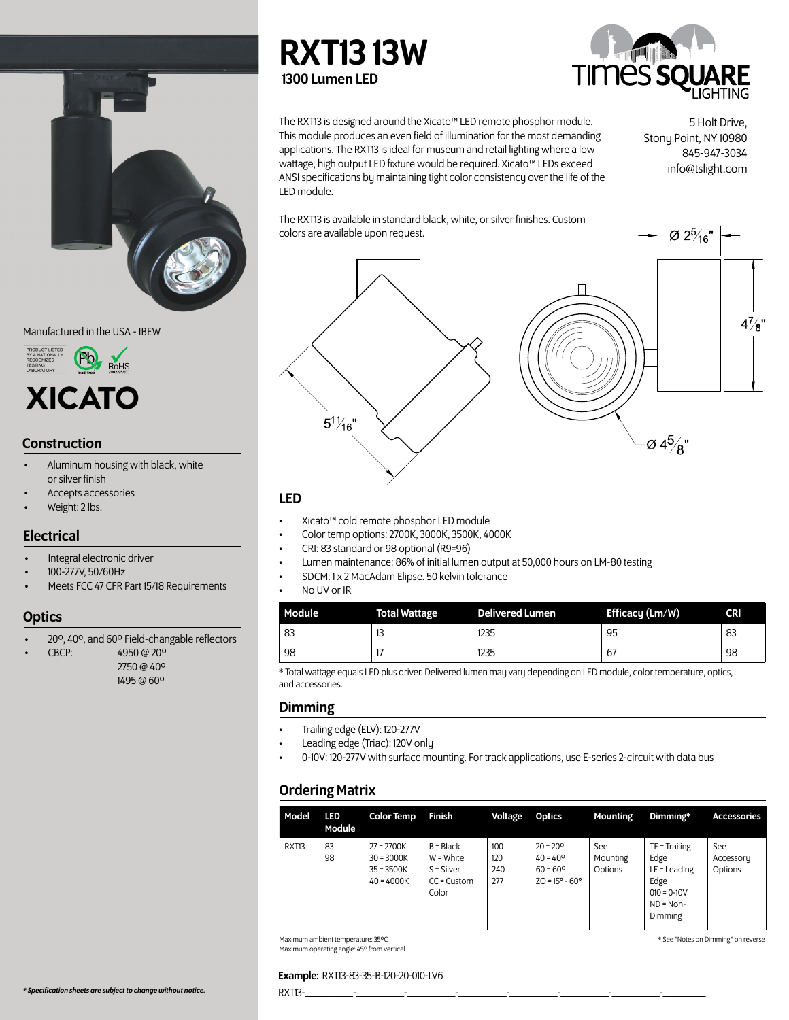

Manufactured in the USA - IBEW



# **Construction**

- Aluminum housing with black, white or silver finish
- Accepts accessories
- Weight: 2 lbs.

# Electrical

- Integral electronic driver
- 100-277V, 50/60Hz
- Meets FCC 47 CFR Part 15/18 Requirements

# **Optics**

- 20º, 40º, and 60º Field-changable reflectors
- CBCP: 4950 @ 20º
	- 2750 @ 40º 1495 @ 60º

RXT13 13W 1300 Lumen LED



The RXT13 is designed around the Xicato™ LED remote phosphor module. This module produces an even field of illumination for the most demanding applications. The RXT13 is ideal for museum and retail lighting where a low wattage, high output LED fixture would be required. Xicato™ LEDs exceed ANSI specifications by maintaining tight color consistency over the life of the LED module.

5 Holt Drive, Stony Point, NY 10980 845-947-3034 info@tslight.com

Ø 2<sup>5</sup>/<sub>16</sub>"

The RXT13 is available in standard black, white, or silver finishes. Custom colors are available upon request.



# LED

- Xicato™ cold remote phosphor LED module
- Color temp options: 2700K, 3000K, 3500K, 4000K
- CRI: 83 standard or 98 optional (R9=96)
- Lumen maintenance: 86% of initial lumen output at 50,000 hours on LM-80 testing
- SDCM: 1 x 2 MacAdam Elipse. 50 kelvin tolerance
- No UV or IR

| <b>Module</b> | <b>Total Wattage</b> | <b>Delivered Lumen</b> | Efficacy (Lm/W) | <b>CRI</b> |
|---------------|----------------------|------------------------|-----------------|------------|
| 83            | . .                  | 1235                   | 95              | 83         |
| 98            |                      | 1235                   | 67              | 98         |

\* Total wattage equals LED plus driver. Delivered lumen may vary depending on LED module, color temperature, optics, and accessories.

# Dimming

- Trailing edge (ELV): 120-277V
- Leading edge (Triac): 120V only
- 0-10V: 120-277V with surface mounting. For track applications, use E-series 2-circuit with data bus

# Ordering Matrix

| Model             | <b>LED</b><br>Module | <b>Color Temp</b>                                            | Finish                                                               | Voltage                               | <b>Optics</b>                                                                                 | Mounting                   | Dimming*                                                                                     | <b>Accessories</b>          |
|-------------------|----------------------|--------------------------------------------------------------|----------------------------------------------------------------------|---------------------------------------|-----------------------------------------------------------------------------------------------|----------------------------|----------------------------------------------------------------------------------------------|-----------------------------|
| RXT <sub>13</sub> | 83<br>98             | $27 = 2700K$<br>$30 = 3000K$<br>$35 = 3500K$<br>$40 = 4000K$ | $B = Black$<br>$W = White$<br>$S = Silver$<br>$CC =$ Custom<br>Color | 100 <sup>°</sup><br>120<br>240<br>277 | $20 = 20^{\circ}$<br>$40 = 40^{\circ}$<br>$60 = 60^{\circ}$<br>$ZO = 15^{\circ} - 60^{\circ}$ | See<br>Mounting<br>Options | $TE = Training$<br>Edge<br>$LE =$ Leading<br>Edge<br>$010 = 0-10V$<br>$ND = Non-$<br>Dimming | See<br>Accessory<br>Options |

Maximum ambient temperature: 35ºC Maximum operating angle: 45º from vertical \* See "Notes on Dimming" on reverse

### Example: RXT13-83-35-B-120-20-010-LV6

*\* Specification sheets are subject to change without notice.* RXT13-\_\_\_\_\_\_\_\_\_-\_\_\_\_\_\_\_\_\_-\_\_\_\_\_\_\_\_\_-\_\_\_\_\_\_\_\_\_-\_\_\_\_\_\_\_\_\_-\_\_\_\_\_\_\_\_\_-\_\_\_\_\_\_\_\_\_-\_\_\_\_\_\_\_\_